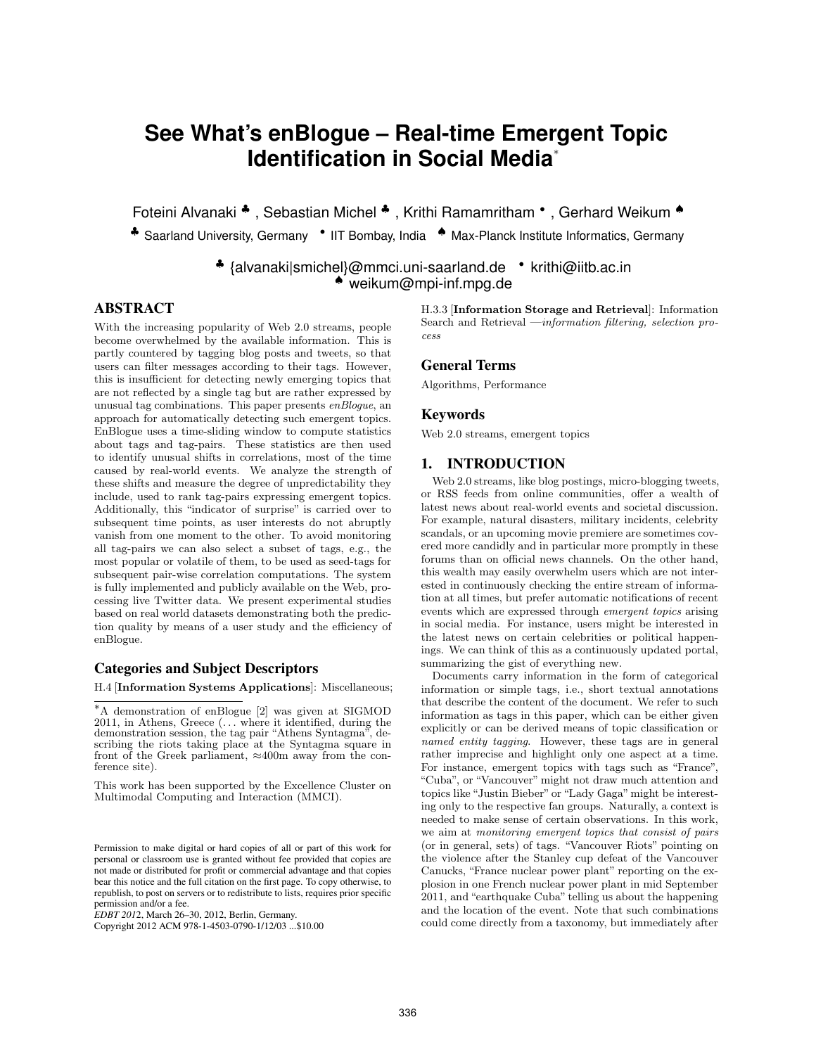# **See What's enBlogue – Real-time Emergent Topic Identification in Social Media**<sup>∗</sup>

Foteini Alvanaki ♣ , Sebastian Michel ♣ , Krithi Ramamritham *•* , Gerhard Weikum ♠

♣ Saarland University, Germany *•* IIT Bombay, India ♠ Max-Planck Institute Informatics, Germany

♣ {alvanaki|smichel}@mmci.uni-saarland.de *•* krithi@iitb.ac.in ♠ weikum@mpi-inf.mpg.de

# ABSTRACT

With the increasing popularity of Web 2.0 streams, people become overwhelmed by the available information. This is partly countered by tagging blog posts and tweets, so that users can filter messages according to their tags. However, this is insufficient for detecting newly emerging topics that are not reflected by a single tag but are rather expressed by unusual tag combinations. This paper presents *enBlogue*, an approach for automatically detecting such emergent topics. EnBlogue uses a time-sliding window to compute statistics about tags and tag-pairs. These statistics are then used to identify unusual shifts in correlations, most of the time caused by real-world events. We analyze the strength of these shifts and measure the degree of unpredictability they include, used to rank tag-pairs expressing emergent topics. Additionally, this "indicator of surprise" is carried over to subsequent time points, as user interests do not abruptly vanish from one moment to the other. To avoid monitoring all tag-pairs we can also select a subset of tags, e.g., the most popular or volatile of them, to be used as seed-tags for subsequent pair-wise correlation computations. The system is fully implemented and publicly available on the Web, processing live Twitter data. We present experimental studies based on real world datasets demonstrating both the prediction quality by means of a user study and the efficiency of enBlogue.

# Categories and Subject Descriptors

H.4 [Information Systems Applications]: Miscellaneous;

This work has been supported by the Excellence Cluster on Multimodal Computing and Interaction (MMCI).

*EDBT 2012*, March 26-30, 2012, Berlin, Germany.

Copyright 2012 ACM 978-1-4503-0790-1/12/03 ...\$10.00

H.3.3 [Information Storage and Retrieval]: Information Search and Retrieval —*information filtering, selection process*

# General Terms

Algorithms, Performance

# Keywords

Web 2.0 streams, emergent topics

# 1. INTRODUCTION

Web 2.0 streams, like blog postings, micro-blogging tweets, or RSS feeds from online communities, offer a wealth of latest news about real-world events and societal discussion. For example, natural disasters, military incidents, celebrity scandals, or an upcoming movie premiere are sometimes covered more candidly and in particular more promptly in these forums than on official news channels. On the other hand, this wealth may easily overwhelm users which are not interested in continuously checking the entire stream of information at all times, but prefer automatic notifications of recent events which are expressed through *emergent topics* arising in social media. For instance, users might be interested in the latest news on certain celebrities or political happenings. We can think of this as a continuously updated portal, summarizing the gist of everything new.

Documents carry information in the form of categorical information or simple tags, i.e., short textual annotations that describe the content of the document. We refer to such information as tags in this paper, which can be either given explicitly or can be derived means of topic classification or *named entity tagging*. However, these tags are in general rather imprecise and highlight only one aspect at a time. For instance, emergent topics with tags such as "France", "Cuba", or "Vancouver" might not draw much attention and topics like "Justin Bieber" or "Lady Gaga"might be interesting only to the respective fan groups. Naturally, a context is needed to make sense of certain observations. In this work, we aim at *monitoring emergent topics that consist of pairs* (or in general, sets) of tags. "Vancouver Riots" pointing on the violence after the Stanley cup defeat of the Vancouver Canucks, "France nuclear power plant" reporting on the explosion in one French nuclear power plant in mid September 2011, and "earthquake Cuba" telling us about the happening and the location of the event. Note that such combinations could come directly from a taxonomy, but immediately after

<sup>∗</sup>A demonstration of enBlogue [2] was given at SIGMOD 2011, in Athens, Greece (*...* where it identified, during the demonstration session, the tag pair "Athens Syntagma", describing the riots taking place at the Syntagma square in front of the Greek parliament,  $\approx 400$ m away from the conference site).

Permission to make digital or hard copies of all or part of this work for personal or classroom use is granted without fee provided that copies are not made or distributed for profit or commercial advantage and that copies bear this notice and the full citation on the first page. To copy otherwise, to republish, to post on servers or to redistribute to lists, requires prior specific permission and/or a fee.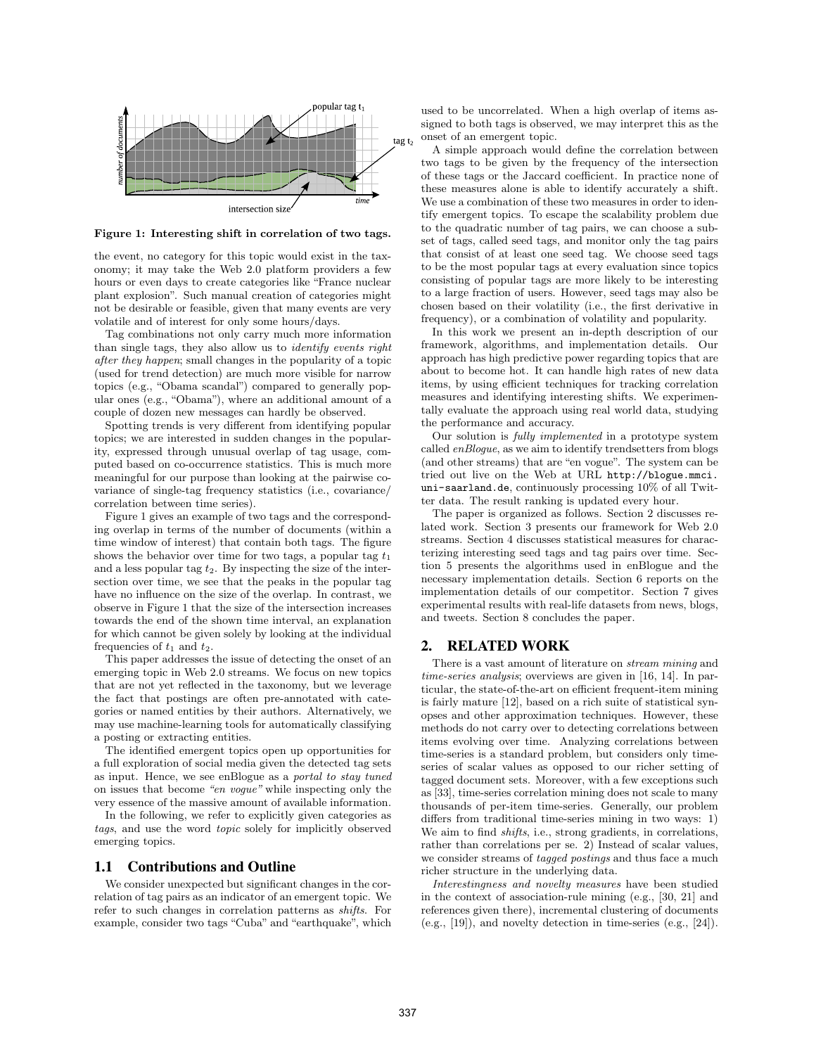

Figure 1: Interesting shift in correlation of two tags.

the event, no category for this topic would exist in the taxonomy; it may take the Web 2.0 platform providers a few hours or even days to create categories like "France nuclear plant explosion". Such manual creation of categories might not be desirable or feasible, given that many events are very volatile and of interest for only some hours/days.

Tag combinations not only carry much more information than single tags, they also allow us to *identify events right after they happen*; small changes in the popularity of a topic (used for trend detection) are much more visible for narrow topics (e.g., "Obama scandal") compared to generally popular ones (e.g., "Obama"), where an additional amount of a couple of dozen new messages can hardly be observed.

Spotting trends is very different from identifying popular topics; we are interested in sudden changes in the popularity, expressed through unusual overlap of tag usage, computed based on co-occurrence statistics. This is much more meaningful for our purpose than looking at the pairwise covariance of single-tag frequency statistics (i.e., covariance/ correlation between time series).

Figure 1 gives an example of two tags and the corresponding overlap in terms of the number of documents (within a time window of interest) that contain both tags. The figure shows the behavior over time for two tags, a popular tag  $t_1$ and a less popular tag *t*2. By inspecting the size of the intersection over time, we see that the peaks in the popular tag have no influence on the size of the overlap. In contrast, we observe in Figure 1 that the size of the intersection increases towards the end of the shown time interval, an explanation for which cannot be given solely by looking at the individual frequencies of  $t_1$  and  $t_2$ .

This paper addresses the issue of detecting the onset of an emerging topic in Web 2.0 streams. We focus on new topics that are not yet reflected in the taxonomy, but we leverage the fact that postings are often pre-annotated with categories or named entities by their authors. Alternatively, we may use machine-learning tools for automatically classifying a posting or extracting entities.

The identified emergent topics open up opportunities for a full exploration of social media given the detected tag sets as input. Hence, we see enBlogue as a *portal to stay tuned* on issues that become *"en vogue"* while inspecting only the very essence of the massive amount of available information.

In the following, we refer to explicitly given categories as *tags*, and use the word *topic* solely for implicitly observed emerging topics.

## 1.1 Contributions and Outline

We consider unexpected but significant changes in the correlation of tag pairs as an indicator of an emergent topic. We refer to such changes in correlation patterns as *shifts*. For example, consider two tags "Cuba" and "earthquake", which

used to be uncorrelated. When a high overlap of items assigned to both tags is observed, we may interpret this as the onset of an emergent topic.

A simple approach would define the correlation between two tags to be given by the frequency of the intersection of these tags or the Jaccard coefficient. In practice none of these measures alone is able to identify accurately a shift. We use a combination of these two measures in order to identify emergent topics. To escape the scalability problem due to the quadratic number of tag pairs, we can choose a subset of tags, called seed tags, and monitor only the tag pairs that consist of at least one seed tag. We choose seed tags to be the most popular tags at every evaluation since topics consisting of popular tags are more likely to be interesting to a large fraction of users. However, seed tags may also be chosen based on their volatility (i.e., the first derivative in frequency), or a combination of volatility and popularity.

In this work we present an in-depth description of our framework, algorithms, and implementation details. Our approach has high predictive power regarding topics that are about to become hot. It can handle high rates of new data items, by using efficient techniques for tracking correlation measures and identifying interesting shifts. We experimentally evaluate the approach using real world data, studying the performance and accuracy.

Our solution is *fully implemented* in a prototype system called *enBlogue*, as we aim to identify trendsetters from blogs (and other streams) that are "en vogue". The system can be tried out live on the Web at URL http://blogue.mmci. uni-saarland.de, continuously processing 10% of all Twitter data. The result ranking is updated every hour.

The paper is organized as follows. Section 2 discusses related work. Section 3 presents our framework for Web 2.0 streams. Section 4 discusses statistical measures for characterizing interesting seed tags and tag pairs over time. Section 5 presents the algorithms used in enBlogue and the necessary implementation details. Section 6 reports on the implementation details of our competitor. Section 7 gives experimental results with real-life datasets from news, blogs, and tweets. Section 8 concludes the paper.

# 2. RELATED WORK

There is a vast amount of literature on *stream mining* and *time-series analysis*; overviews are given in [16, 14]. In particular, the state-of-the-art on efficient frequent-item mining is fairly mature [12], based on a rich suite of statistical synopses and other approximation techniques. However, these methods do not carry over to detecting correlations between items evolving over time. Analyzing correlations between time-series is a standard problem, but considers only timeseries of scalar values as opposed to our richer setting of tagged document sets. Moreover, with a few exceptions such as [33], time-series correlation mining does not scale to many thousands of per-item time-series. Generally, our problem differs from traditional time-series mining in two ways: 1) We aim to find *shifts*, i.e., strong gradients, in correlations, rather than correlations per se. 2) Instead of scalar values, we consider streams of *tagged postings* and thus face a much richer structure in the underlying data.

*Interestingness and novelty measures* have been studied in the context of association-rule mining (e.g., [30, 21] and references given there), incremental clustering of documents (e.g., [19]), and novelty detection in time-series (e.g., [24]).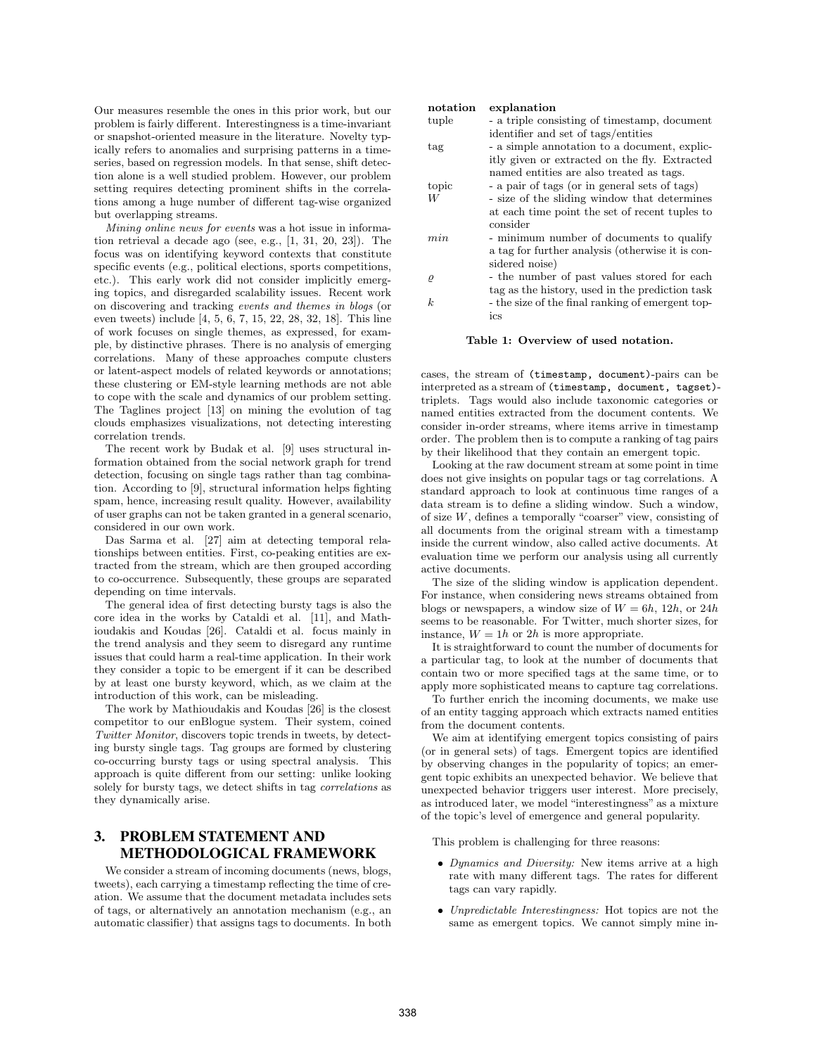Our measures resemble the ones in this prior work, but our problem is fairly different. Interestingness is a time-invariant or snapshot-oriented measure in the literature. Novelty typically refers to anomalies and surprising patterns in a timeseries, based on regression models. In that sense, shift detection alone is a well studied problem. However, our problem setting requires detecting prominent shifts in the correlations among a huge number of different tag-wise organized but overlapping streams.

*Mining online news for events* was a hot issue in information retrieval a decade ago (see, e.g., [1, 31, 20, 23]). The focus was on identifying keyword contexts that constitute specific events (e.g., political elections, sports competitions, etc.). This early work did not consider implicitly emerging topics, and disregarded scalability issues. Recent work on discovering and tracking *events and themes in blogs* (or even tweets) include [4, 5, 6, 7, 15, 22, 28, 32, 18]. This line of work focuses on single themes, as expressed, for example, by distinctive phrases. There is no analysis of emerging correlations. Many of these approaches compute clusters or latent-aspect models of related keywords or annotations; these clustering or EM-style learning methods are not able to cope with the scale and dynamics of our problem setting. The Taglines project [13] on mining the evolution of tag clouds emphasizes visualizations, not detecting interesting correlation trends.

The recent work by Budak et al. [9] uses structural information obtained from the social network graph for trend detection, focusing on single tags rather than tag combination. According to [9], structural information helps fighting spam, hence, increasing result quality. However, availability of user graphs can not be taken granted in a general scenario, considered in our own work.

Das Sarma et al. [27] aim at detecting temporal relationships between entities. First, co-peaking entities are extracted from the stream, which are then grouped according to co-occurrence. Subsequently, these groups are separated depending on time intervals.

The general idea of first detecting bursty tags is also the core idea in the works by Cataldi et al. [11], and Mathioudakis and Koudas [26]. Cataldi et al. focus mainly in the trend analysis and they seem to disregard any runtime issues that could harm a real-time application. In their work they consider a topic to be emergent if it can be described by at least one bursty keyword, which, as we claim at the introduction of this work, can be misleading.

The work by Mathioudakis and Koudas [26] is the closest competitor to our enBlogue system. Their system, coined *Twitter Monitor*, discovers topic trends in tweets, by detecting bursty single tags. Tag groups are formed by clustering co-occurring bursty tags or using spectral analysis. This approach is quite different from our setting: unlike looking solely for bursty tags, we detect shifts in tag *correlations* as they dynamically arise.

# 3. PROBLEM STATEMENT AND METHODOLOGICAL FRAMEWORK

We consider a stream of incoming documents (news, blogs, tweets), each carrying a timestamp reflecting the time of creation. We assume that the document metadata includes sets of tags, or alternatively an annotation mechanism (e.g., an automatic classifier) that assigns tags to documents. In both

| notation  | explanation                                      |
|-----------|--------------------------------------------------|
| tuple     | - a triple consisting of timestamp, document     |
|           | identifier and set of tags/entities              |
| tag       | - a simple annotation to a document, explic-     |
|           | itly given or extracted on the fly. Extracted    |
|           | named entities are also treated as tags.         |
| topic     | - a pair of tags (or in general sets of tags)    |
| W         | - size of the sliding window that determines     |
|           | at each time point the set of recent tuples to   |
|           | consider                                         |
| min       | - minimum number of documents to qualify         |
|           | a tag for further analysis (otherwise it is con- |
|           | sidered noise)                                   |
| $\varrho$ | - the number of past values stored for each      |
|           | tag as the history, used in the prediction task  |
| k.        | - the size of the final ranking of emergent top- |
|           | ics                                              |
|           |                                                  |

#### Table 1: Overview of used notation.

cases, the stream of (timestamp, document)-pairs can be interpreted as a stream of (timestamp, document, tagset) triplets. Tags would also include taxonomic categories or named entities extracted from the document contents. We consider in-order streams, where items arrive in timestamp order. The problem then is to compute a ranking of tag pairs by their likelihood that they contain an emergent topic.

Looking at the raw document stream at some point in time does not give insights on popular tags or tag correlations. A standard approach to look at continuous time ranges of a data stream is to define a sliding window. Such a window, of size *W*, defines a temporally "coarser" view, consisting of all documents from the original stream with a timestamp inside the current window, also called active documents. At evaluation time we perform our analysis using all currently active documents.

The size of the sliding window is application dependent. For instance, when considering news streams obtained from blogs or newspapers, a window size of  $W = 6h$ , 12*h*, or 24*h* seems to be reasonable. For Twitter, much shorter sizes, for instance,  $W = 1h$  or  $2h$  is more appropriate.

It is straightforward to count the number of documents for a particular tag, to look at the number of documents that contain two or more specified tags at the same time, or to apply more sophisticated means to capture tag correlations.

To further enrich the incoming documents, we make use of an entity tagging approach which extracts named entities from the document contents.

We aim at identifying emergent topics consisting of pairs (or in general sets) of tags. Emergent topics are identified by observing changes in the popularity of topics; an emergent topic exhibits an unexpected behavior. We believe that unexpected behavior triggers user interest. More precisely, as introduced later, we model "interestingness" as a mixture of the topic's level of emergence and general popularity.

This problem is challenging for three reasons:

- *• Dynamics and Diversity:* New items arrive at a high rate with many different tags. The rates for different tags can vary rapidly.
- *• Unpredictable Interestingness:* Hot topics are not the same as emergent topics. We cannot simply mine in-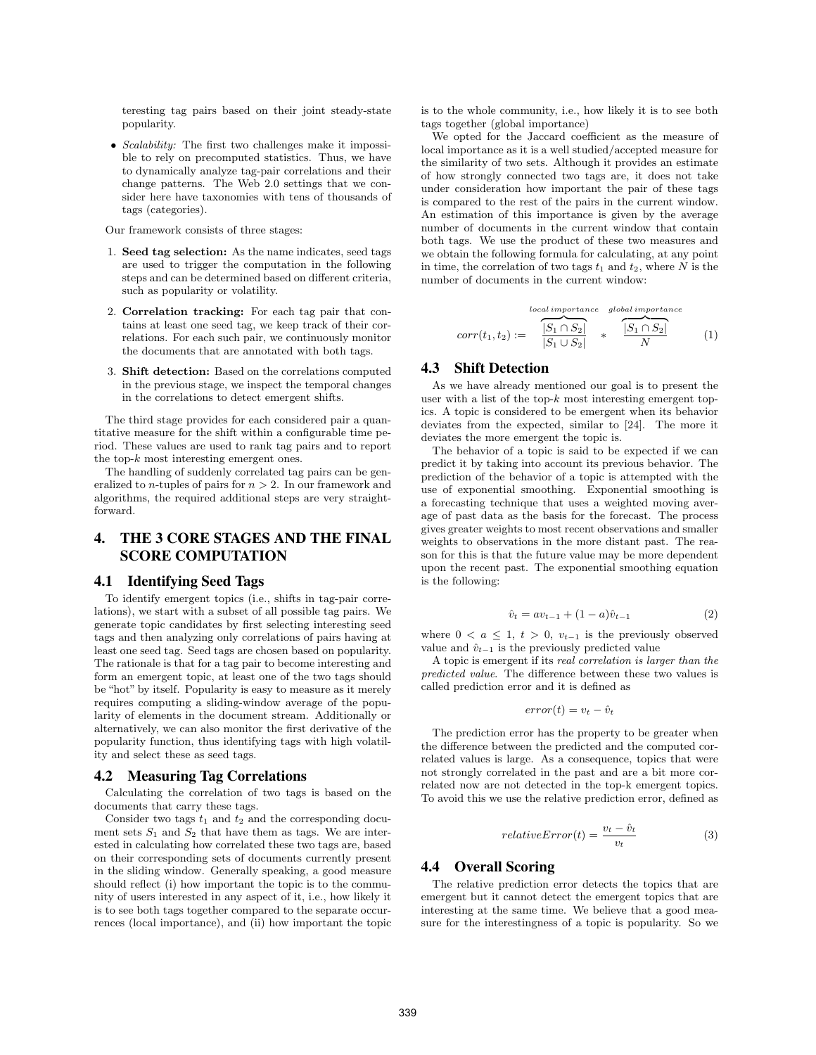teresting tag pairs based on their joint steady-state popularity.

*• Scalability:* The first two challenges make it impossible to rely on precomputed statistics. Thus, we have to dynamically analyze tag-pair correlations and their change patterns. The Web 2.0 settings that we consider here have taxonomies with tens of thousands of tags (categories).

Our framework consists of three stages:

- 1*.* Seed tag selection: As the name indicates, seed tags are used to trigger the computation in the following steps and can be determined based on different criteria, such as popularity or volatility.
- 2*.* Correlation tracking: For each tag pair that contains at least one seed tag, we keep track of their correlations. For each such pair, we continuously monitor the documents that are annotated with both tags.
- 3*.* Shift detection: Based on the correlations computed in the previous stage, we inspect the temporal changes in the correlations to detect emergent shifts.

The third stage provides for each considered pair a quantitative measure for the shift within a configurable time period. These values are used to rank tag pairs and to report the top-*k* most interesting emergent ones.

The handling of suddenly correlated tag pairs can be generalized to *n*-tuples of pairs for *n >* 2. In our framework and algorithms, the required additional steps are very straightforward.

# 4. THE 3 CORE STAGES AND THE FINAL SCORE COMPUTATION

## 4.1 Identifying Seed Tags

To identify emergent topics (i.e., shifts in tag-pair correlations), we start with a subset of all possible tag pairs. We generate topic candidates by first selecting interesting seed tags and then analyzing only correlations of pairs having at least one seed tag. Seed tags are chosen based on popularity. The rationale is that for a tag pair to become interesting and form an emergent topic, at least one of the two tags should be "hot" by itself. Popularity is easy to measure as it merely requires computing a sliding-window average of the popularity of elements in the document stream. Additionally or alternatively, we can also monitor the first derivative of the popularity function, thus identifying tags with high volatility and select these as seed tags.

## 4.2 Measuring Tag Correlations

Calculating the correlation of two tags is based on the documents that carry these tags.

Consider two tags  $t_1$  and  $t_2$  and the corresponding document sets  $S_1$  and  $S_2$  that have them as tags. We are interested in calculating how correlated these two tags are, based on their corresponding sets of documents currently present in the sliding window. Generally speaking, a good measure should reflect (i) how important the topic is to the community of users interested in any aspect of it, i.e., how likely it is to see both tags together compared to the separate occurrences (local importance), and (ii) how important the topic is to the whole community, i.e., how likely it is to see both tags together (global importance)

We opted for the Jaccard coefficient as the measure of local importance as it is a well studied/accepted measure for the similarity of two sets. Although it provides an estimate of how strongly connected two tags are, it does not take under consideration how important the pair of these tags is compared to the rest of the pairs in the current window. An estimation of this importance is given by the average number of documents in the current window that contain both tags. We use the product of these two measures and we obtain the following formula for calculating, at any point in time, the correlation of two tags  $t_1$  and  $t_2$ , where  $N$  is the number of documents in the current window:

$$
corr(t_1, t_2) := \frac{\sum_{i=1}^{local \text{ importance}} \text{global importance}}{|S_1 \cap S_2|} \times \frac{|S_1 \cap S_2|}{N}
$$
 (1)

#### 4.3 Shift Detection

As we have already mentioned our goal is to present the user with a list of the top-*k* most interesting emergent topics. A topic is considered to be emergent when its behavior deviates from the expected, similar to [24]. The more it deviates the more emergent the topic is.

The behavior of a topic is said to be expected if we can predict it by taking into account its previous behavior. The prediction of the behavior of a topic is attempted with the use of exponential smoothing. Exponential smoothing is a forecasting technique that uses a weighted moving average of past data as the basis for the forecast. The process gives greater weights to most recent observations and smaller weights to observations in the more distant past. The reason for this is that the future value may be more dependent upon the recent past. The exponential smoothing equation is the following:

$$
\hat{v}_t = av_{t-1} + (1 - a)\hat{v}_{t-1} \tag{2}
$$

where  $0 < a \leq 1$ ,  $t > 0$ ,  $v_{t-1}$  is the previously observed value and  $\hat{v}_{t-1}$  is the previously predicted value

A topic is emergent if its *real correlation is larger than the predicted value*. The difference between these two values is called prediction error and it is defined as

$$
error(t) = v_t - \hat{v}_t
$$

The prediction error has the property to be greater when the difference between the predicted and the computed correlated values is large. As a consequence, topics that were not strongly correlated in the past and are a bit more correlated now are not detected in the top-k emergent topics. To avoid this we use the relative prediction error, defined as

$$
relativeError(t) = \frac{v_t - \hat{v}_t}{v_t}
$$
\n(3)

# 4.4 Overall Scoring

The relative prediction error detects the topics that are emergent but it cannot detect the emergent topics that are interesting at the same time. We believe that a good measure for the interestingness of a topic is popularity. So we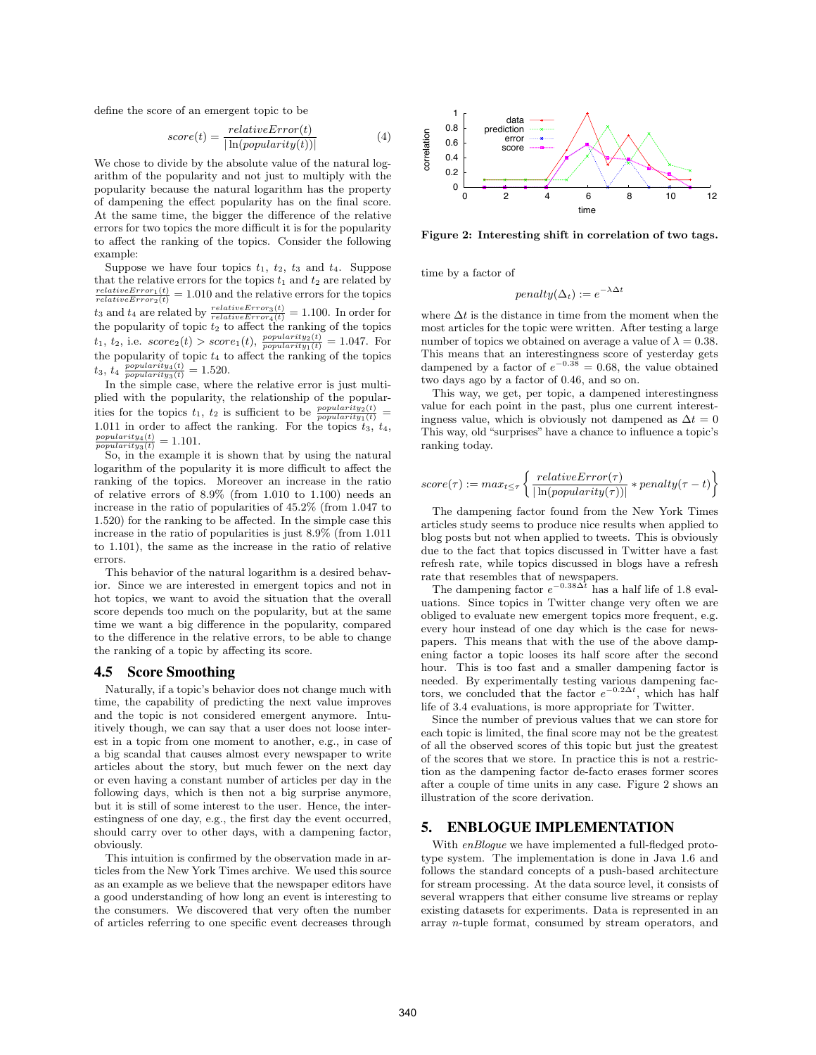define the score of an emergent topic to be

$$
score(t) = \frac{relativeError(t)}{|\ln(popularity(t))|} \tag{4}
$$

We chose to divide by the absolute value of the natural logarithm of the popularity and not just to multiply with the popularity because the natural logarithm has the property of dampening the effect popularity has on the final score. At the same time, the bigger the difference of the relative errors for two topics the more difficult it is for the popularity to affect the ranking of the topics. Consider the following example:

Suppose we have four topics  $t_1$ ,  $t_2$ ,  $t_3$  and  $t_4$ . Suppose that the relative errors for the topics  $t_1$  and  $t_2$  are related by  $\frac{relativeError_1(t)}{relativeError_2(t)} = 1.010$  and the relative errors for the topics  $t_3$  and  $t_4$  are related by  $\frac{relativeError_3(t)}{relativeError_4(t)} = 1.100$ . In order for the popularity of topic  $t_2$  to affect the ranking of the topics  $t_1$ ,  $t_2$ , i.e.  $score_2(t) > score_1(t)$ ,  $\frac{popularity_2(t)}{popularity_1(t)} = 1.047$ . For the popularity of topic  $t_4$  to affect the ranking of the topics  $t_3, t_4 \frac{popularity_4(t)}{popularity_3(t)} = 1.520.$ 

In the simple case, where the relative error is just multiplied with the popularity, the relationship of the popularities for the topics  $t_1$ ,  $t_2$  is sufficient to be  $\frac{popularity_1(t)}{popularity_1(t)}$  = 1.011 in order to affect the ranking. For the topics  $t_3$ ,  $t_4$ ,  $\frac{popularity_4(t)}{popularity_3(t)} = 1.101.$ 

So, in the example it is shown that by using the natural logarithm of the popularity it is more difficult to affect the ranking of the topics. Moreover an increase in the ratio of relative errors of 8*.*9% (from 1*.*010 to 1*.*100) needs an increase in the ratio of popularities of 45*.*2% (from 1*.*047 to 1*.*520) for the ranking to be affected. In the simple case this increase in the ratio of popularities is just 8.9% (from 1*.*011 to 1*.*101), the same as the increase in the ratio of relative errors.

This behavior of the natural logarithm is a desired behavior. Since we are interested in emergent topics and not in hot topics, we want to avoid the situation that the overall score depends too much on the popularity, but at the same time we want a big difference in the popularity, compared to the difference in the relative errors, to be able to change the ranking of a topic by affecting its score.

## 4.5 Score Smoothing

Naturally, if a topic's behavior does not change much with time, the capability of predicting the next value improves and the topic is not considered emergent anymore. Intuitively though, we can say that a user does not loose interest in a topic from one moment to another, e.g., in case of a big scandal that causes almost every newspaper to write articles about the story, but much fewer on the next day or even having a constant number of articles per day in the following days, which is then not a big surprise anymore, but it is still of some interest to the user. Hence, the interestingness of one day, e.g., the first day the event occurred, should carry over to other days, with a dampening factor, obviously.

This intuition is confirmed by the observation made in articles from the New York Times archive. We used this source as an example as we believe that the newspaper editors have a good understanding of how long an event is interesting to the consumers. We discovered that very often the number of articles referring to one specific event decreases through



Figure 2: Interesting shift in correlation of two tags.

time by a factor of

$$
penalty(\Delta_t) := e^{-\lambda \Delta t}
$$

where ∆*t* is the distance in time from the moment when the most articles for the topic were written. After testing a large number of topics we obtained on average a value of  $\lambda = 0.38$ . This means that an interestingness score of yesterday gets dampened by a factor of  $e^{-0.38} = 0.68$ , the value obtained two days ago by a factor of 0*.*46, and so on.

This way, we get, per topic, a dampened interestingness value for each point in the past, plus one current interestingness value, which is obviously not dampened as  $\Delta t = 0$ This way, old "surprises" have a chance to influence a topic's ranking today.

$$
score(\tau) := max_{t \leq \tau} \left\{ \frac{relativeError(\tau)}{|\ln(popularity(\tau))|} * penalty(\tau - t) \right\}
$$

The dampening factor found from the New York Times articles study seems to produce nice results when applied to blog posts but not when applied to tweets. This is obviously due to the fact that topics discussed in Twitter have a fast refresh rate, while topics discussed in blogs have a refresh rate that resembles that of newspapers.

The dampening factor  $e^{-0.38\Delta t}$  has a half life of 1.8 evaluations. Since topics in Twitter change very often we are obliged to evaluate new emergent topics more frequent, e.g. every hour instead of one day which is the case for newspapers. This means that with the use of the above dampening factor a topic looses its half score after the second hour. This is too fast and a smaller dampening factor is needed. By experimentally testing various dampening factors, we concluded that the factor  $e^{-0.2\Delta t}$ , which has half life of 3.4 evaluations, is more appropriate for Twitter.

Since the number of previous values that we can store for each topic is limited, the final score may not be the greatest of all the observed scores of this topic but just the greatest of the scores that we store. In practice this is not a restriction as the dampening factor de-facto erases former scores after a couple of time units in any case. Figure 2 shows an illustration of the score derivation.

# 5. ENBLOGUE IMPLEMENTATION

With *enBlogue* we have implemented a full-fledged prototype system. The implementation is done in Java 1.6 and follows the standard concepts of a push-based architecture for stream processing. At the data source level, it consists of several wrappers that either consume live streams or replay existing datasets for experiments. Data is represented in an array *n*-tuple format, consumed by stream operators, and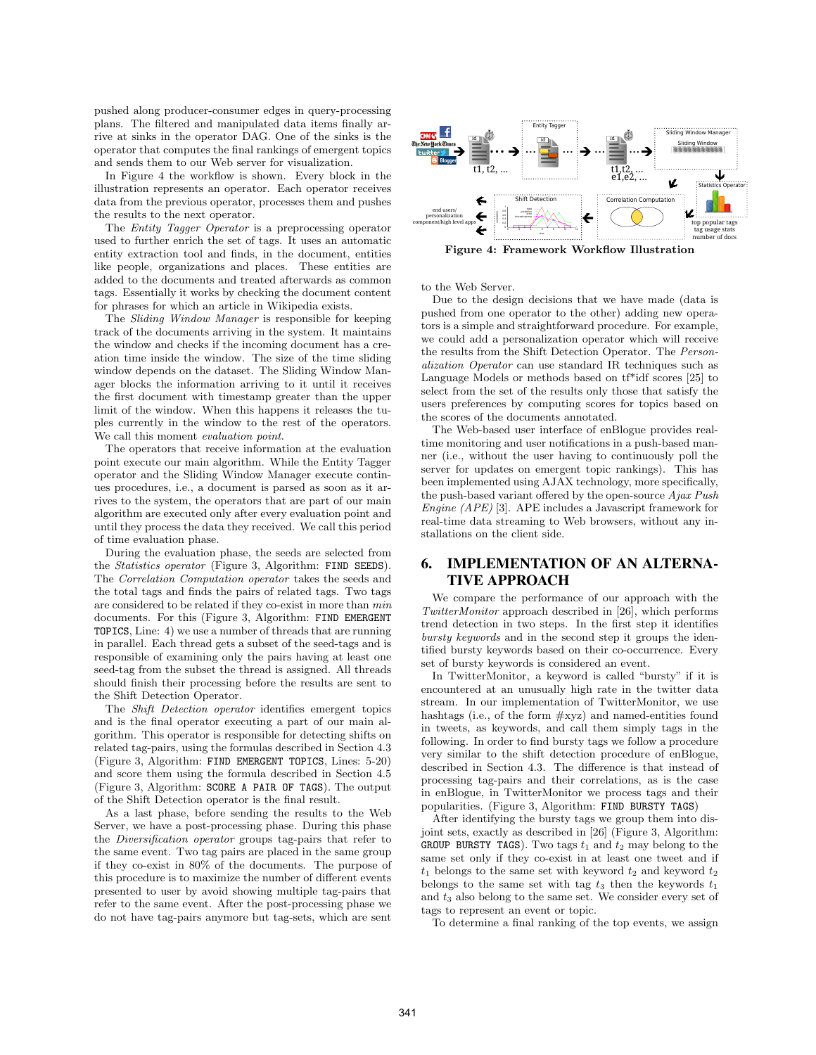pushed along producer-consumer edges in query-processing plans. The filtered and manipulated data items finally arrive at sinks in the operator DAG. One of the sinks is the operator that computes the final rankings of emergent topics and sends them to our Web server for visualization.

In Figure 4 the workflow is shown. Every block in the illustration represents an operator. Each operator receives data from the previous operator, processes them and pushes the results to the next operator.

The *Entity Tagger Operator* is a preprocessing operator used to further enrich the set of tags. It uses an automatic entity extraction tool and finds, in the document, entities like people, organizations and places. These entities are added to the documents and treated afterwards as common tags. Essentially it works by checking the document content for phrases for which an article in Wikipedia exists.

The *Sliding Window Manager* is responsible for keeping track of the documents arriving in the system. It maintains the window and checks if the incoming document has a creation time inside the window. The size of the time sliding window depends on the dataset. The Sliding Window Manager blocks the information arriving to it until it receives the first document with timestamp greater than the upper limit of the window. When this happens it releases the tuples currently in the window to the rest of the operators. We call this moment *evaluation point*.

The operators that receive information at the evaluation point execute our main algorithm. While the Entity Tagger operator and the Sliding Window Manager execute continues procedures, i.e., a document is parsed as soon as it arrives to the system, the operators that are part of our main algorithm are executed only after every evaluation point and until they process the data they received. We call this period of time evaluation phase.

During the evaluation phase, the seeds are selected from the *Statistics operator* (Figure 3, Algorithm: FIND SEEDS). The *Correlation Computation operator* takes the seeds and the total tags and finds the pairs of related tags. Two tags are considered to be related if they co-exist in more than *min* documents. For this (Figure 3, Algorithm: FIND EMERGENT TOPICS, Line: 4) we use a number of threads that are running in parallel. Each thread gets a subset of the seed-tags and is responsible of examining only the pairs having at least one seed-tag from the subset the thread is assigned. All threads should finish their processing before the results are sent to the Shift Detection Operator.

The *Shift Detection operator* identifies emergent topics and is the final operator executing a part of our main algorithm. This operator is responsible for detecting shifts on related tag-pairs, using the formulas described in Section 4.3 (Figure 3, Algorithm: FIND EMERGENT TOPICS, Lines: 5-20) and score them using the formula described in Section 4.5 (Figure 3, Algorithm: SCORE A PAIR OF TAGS). The output of the Shift Detection operator is the final result.

As a last phase, before sending the results to the Web Server, we have a post-processing phase. During this phase the *Diversification operator* groups tag-pairs that refer to the same event. Two tag pairs are placed in the same group if they co-exist in 80% of the documents. The purpose of this procedure is to maximize the number of different events presented to user by avoid showing multiple tag-pairs that refer to the same event. After the post-processing phase we do not have tag-pairs anymore but tag-sets, which are sent



Figure 4: Framework Workflow Illustration

to the Web Server.

Due to the design decisions that we have made (data is pushed from one operator to the other) adding new operators is a simple and straightforward procedure. For example, we could add a personalization operator which will receive the results from the Shift Detection Operator. The *Personalization Operator* can use standard IR techniques such as Language Models or methods based on tf\*idf scores [25] to select from the set of the results only those that satisfy the users preferences by computing scores for topics based on the scores of the documents annotated.

The Web-based user interface of enBlogue provides realtime monitoring and user notifications in a push-based manner (i.e., without the user having to continuously poll the server for updates on emergent topic rankings). This has been implemented using AJAX technology, more specifically, the push-based variant offered by the open-source *Ajax Push Engine (APE)* [3]. APE includes a Javascript framework for real-time data streaming to Web browsers, without any installations on the client side.

# 6. IMPLEMENTATION OF AN ALTERNA-TIVE APPROACH

We compare the performance of our approach with the *TwitterMonitor* approach described in [26], which performs trend detection in two steps. In the first step it identifies *bursty keywords* and in the second step it groups the identified bursty keywords based on their co-occurrence. Every set of bursty keywords is considered an event.

In TwitterMonitor, a keyword is called "bursty" if it is encountered at an unusually high rate in the twitter data stream. In our implementation of TwitterMonitor, we use hashtags (i.e., of the form #xyz) and named-entities found in tweets, as keywords, and call them simply tags in the following. In order to find bursty tags we follow a procedure very similar to the shift detection procedure of enBlogue, described in Section 4.3. The difference is that instead of processing tag-pairs and their correlations, as is the case in enBlogue, in TwitterMonitor we process tags and their popularities. (Figure 3, Algorithm: FIND BURSTY TAGS)

After identifying the bursty tags we group them into disjoint sets, exactly as described in [26] (Figure 3, Algorithm: GROUP BURSTY TAGS). Two tags  $t_1$  and  $t_2$  may belong to the same set only if they co-exist in at least one tweet and if  $t_1$  belongs to the same set with keyword  $t_2$  and keyword  $t_2$ belongs to the same set with tag  $t_3$  then the keywords  $t_1$ and *t*<sup>3</sup> also belong to the same set. We consider every set of tags to represent an event or topic.

To determine a final ranking of the top events, we assign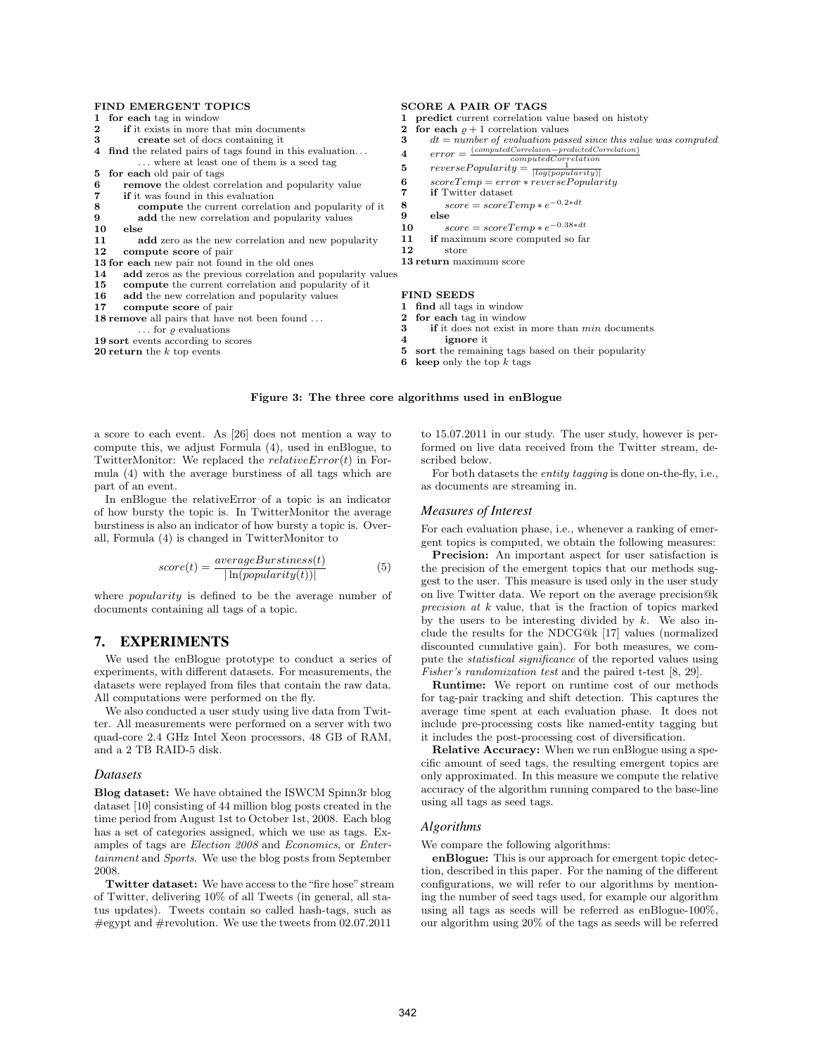#### FIND EMERGENT TOPICS

|    | 1 for each tag in window                                                                              |    | 1 <b>predict</b> current correlation value based on histoty                        |
|----|-------------------------------------------------------------------------------------------------------|----|------------------------------------------------------------------------------------|
|    | <b>if</b> it exists in more that min documents                                                        | 2  | for each $\rho + 1$ correlation values                                             |
| 3  | create set of docs containing it                                                                      | 3  | $dt = number of evaluation passed since this value was computed$                   |
|    | 4 find the related pairs of tags found in this evaluation<br>where at least one of them is a seed tag | 4  | $error = \frac{(computed Correlation-predictedCorrelation)}{computed Correlation}$ |
|    | 5 for each old pair of tags                                                                           | 5  | $reversePopularity = \frac{1}{ log(popularity) }$                                  |
| 6  | <b>remove</b> the oldest correlation and popularity value                                             | 6  | $scoreTemp = error*reversePopularity$                                              |
| 7  | <b>if</b> it was found in this evaluation                                                             | 7  | <b>if</b> Twitter dataset                                                          |
| 8  | <b>compute</b> the current correlation and popularity of it                                           | 8  | $score = scoreTemp * e^{-0.2 * dt}$                                                |
| 9  | add the new correlation and popularity values                                                         | 9  | else                                                                               |
| 10 | else                                                                                                  | 10 | $score = scoreTemp * e^{-0.38 * dt}$                                               |
| 11 | add zero as the new correlation and new popularity                                                    | 11 | if maximum score computed so far                                                   |
| 12 | compute score of pair                                                                                 | 12 | store                                                                              |
|    | 13 for each new pair not found in the old ones                                                        |    | 13 return maximum score                                                            |
| 14 | add zeros as the previous correlation and popularity values                                           |    |                                                                                    |
| 15 | <b>compute</b> the current correlation and popularity of it                                           |    |                                                                                    |
| 16 | add the new correlation and popularity values                                                         |    | <b>FIND SEEDS</b>                                                                  |
| 17 | compute score of pair                                                                                 |    | 1 find all tags in window                                                          |
|    | <b>18 remove</b> all pairs that have not been found                                                   |    | for each tag in window                                                             |
|    | $\ldots$ for $\rho$ evaluations                                                                       | 3  | <b>if</b> it does not exist in more than <i>min</i> documents                      |
|    | 19 sort events according to scores                                                                    |    | <b>ignore</b> it                                                                   |
|    | <b>20 return</b> the $k$ top events                                                                   |    | sort the remaining tags based on their popularity                                  |

6 keep only the top *k* tags

#### Figure 3: The three core algorithms used in enBlogue

a score to each event. As [26] does not mention a way to compute this, we adjust Formula (4), used in enBlogue, to TwitterMonitor: We replaced the *relativeError*(*t*) in Formula (4) with the average burstiness of all tags which are part of an event.

In enBlogue the relativeError of a topic is an indicator of how bursty the topic is. In TwitterMonitor the average burstiness is also an indicator of how bursty a topic is. Overall, Formula (4) is changed in TwitterMonitor to

$$
score(t) = \frac{averageBurstiness(t)}{|\ln(popularity(t))|} \tag{5}
$$

where *popularity* is defined to be the average number of documents containing all tags of a topic.

# 7. EXPERIMENTS

We used the enBlogue prototype to conduct a series of experiments, with different datasets. For measurements, the datasets were replayed from files that contain the raw data. All computations were performed on the fly.

We also conducted a user study using live data from Twitter. All measurements were performed on a server with two quad-core 2.4 GHz Intel Xeon processors, 48 GB of RAM, and a 2 TB RAID-5 disk.

#### *Datasets*

Blog dataset: We have obtained the ISWCM Spinn3r blog dataset [10] consisting of 44 million blog posts created in the time period from August 1st to October 1st, 2008. Each blog has a set of categories assigned, which we use as tags. Examples of tags are *Election 2008* and *Economics*, or *Entertainment* and *Sports*. We use the blog posts from September 2008.

Twitter dataset: We have access to the "fire hose" stream of Twitter, delivering 10% of all Tweets (in general, all status updates). Tweets contain so called hash-tags, such as #egypt and #revolution. We use the tweets from 02.07.2011

to 15.07.2011 in our study. The user study, however is performed on live data received from the Twitter stream, described below.

For both datasets the *entity tagging* is done on-the-fly, i.e., as documents are streaming in.

#### *Measures of Interest*

For each evaluation phase, i.e., whenever a ranking of emergent topics is computed, we obtain the following measures:

Precision: An important aspect for user satisfaction is the precision of the emergent topics that our methods suggest to the user. This measure is used only in the user study on live Twitter data. We report on the average precision@k *precision at k* value, that is the fraction of topics marked by the users to be interesting divided by *k*. We also include the results for the NDCG@k [17] values (normalized discounted cumulative gain). For both measures, we compute the *statistical significance* of the reported values using *Fisher's randomization test* and the paired t-test [8, 29].

Runtime: We report on runtime cost of our methods for tag-pair tracking and shift detection. This captures the average time spent at each evaluation phase. It does not include pre-processing costs like named-entity tagging but it includes the post-processing cost of diversification.

Relative Accuracy: When we run enBlogue using a specific amount of seed tags, the resulting emergent topics are only approximated. In this measure we compute the relative accuracy of the algorithm running compared to the base-line using all tags as seed tags.

#### *Algorithms*

We compare the following algorithms:

enBlogue: This is our approach for emergent topic detection, described in this paper. For the naming of the different configurations, we will refer to our algorithms by mentioning the number of seed tags used, for example our algorithm using all tags as seeds will be referred as enBlogue-100%, our algorithm using 20% of the tags as seeds will be referred

## SCORE A PAIR OF TAGS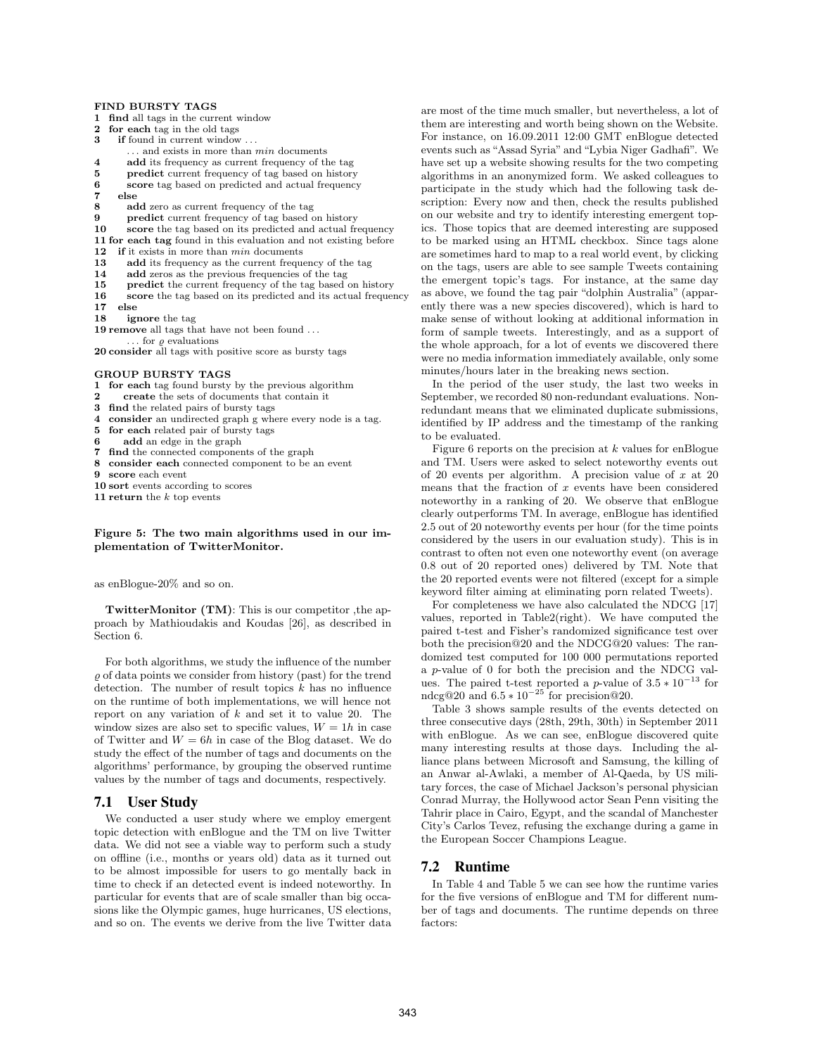#### FIND BURSTY TAGS

- 1 find all tags in the current window<br>2 for each tag in the old tags
- for each tag in the old tags
- 3 if found in current window *...*
- *...* and exists in more than *min* documents
- 4 add its frequency as current frequency of the tag
- 5 predict current frequency of tag based on history
- 6 score tag based on predicted and actual frequency<br>  $\frac{7}{5}$  else
- $\begin{array}{cc} 7 & \text{else} \\ 8 & \text{ad} \end{array}$
- 8 add zero as current frequency of the tag<br>9 **predict** current frequency of tag based on
- predict current frequency of tag based on history
- 10 score the tag based on its predicted and actual frequency
- 11 for each tag found in this evaluation and not existing before
- 12 if it exists in more than *min* documents
- 13 add its frequency as the current frequency of the tag
- 14 add zeros as the previous frequencies of the tag
- 15 predict the current frequency of the tag based on history
- 16 score the tag based on its predicted and its actual frequency
- 17 else
- 18 ignore the tag
- 19 remove all tags that have not been found *...*
- $\ldots$  for  $\rho$  evaluations

20 consider all tags with positive score as bursty tags

#### GROUP BURSTY TAGS

- 1 for each tag found bursty by the previous algorithm
- 2 create the sets of documents that contain it<br>3 find the related pairs of bursty tags
- find the related pairs of bursty tags
- 4 consider an undirected graph g where every node is a tag.
- 5 for each related pair of bursty tags
- add an edge in the graph
- 7 find the connected components of the graph
- 8 consider each connected component to be an event
- score each event
- 10 sort events according to scores
- 11 return the *k* top events

#### Figure 5: The two main algorithms used in our implementation of TwitterMonitor.

as enBlogue-20% and so on.

TwitterMonitor (TM): This is our competitor ,the approach by Mathioudakis and Koudas [26], as described in Section 6.

For both algorithms, we study the influence of the number  $\rho$  of data points we consider from history (past) for the trend detection. The number of result topics *k* has no influence on the runtime of both implementations, we will hence not report on any variation of *k* and set it to value 20. The window sizes are also set to specific values,  $W = 1h$  in case of Twitter and  $W = 6h$  in case of the Blog dataset. We do study the effect of the number of tags and documents on the algorithms' performance, by grouping the observed runtime values by the number of tags and documents, respectively.

#### 7.1 User Study

We conducted a user study where we employ emergent topic detection with enBlogue and the TM on live Twitter data. We did not see a viable way to perform such a study on offline (i.e., months or years old) data as it turned out to be almost impossible for users to go mentally back in time to check if an detected event is indeed noteworthy. In particular for events that are of scale smaller than big occasions like the Olympic games, huge hurricanes, US elections, and so on. The events we derive from the live Twitter data are most of the time much smaller, but nevertheless, a lot of them are interesting and worth being shown on the Website. For instance, on 16.09.2011 12:00 GMT enBlogue detected events such as "Assad Syria" and "Lybia Niger Gadhafi". We have set up a website showing results for the two competing algorithms in an anonymized form. We asked colleagues to participate in the study which had the following task description: Every now and then, check the results published on our website and try to identify interesting emergent topics. Those topics that are deemed interesting are supposed to be marked using an HTML checkbox. Since tags alone are sometimes hard to map to a real world event, by clicking on the tags, users are able to see sample Tweets containing the emergent topic's tags. For instance, at the same day as above, we found the tag pair "dolphin Australia" (apparently there was a new species discovered), which is hard to make sense of without looking at additional information in form of sample tweets. Interestingly, and as a support of the whole approach, for a lot of events we discovered there were no media information immediately available, only some minutes/hours later in the breaking news section.

In the period of the user study, the last two weeks in September, we recorded 80 non-redundant evaluations. Nonredundant means that we eliminated duplicate submissions, identified by IP address and the timestamp of the ranking to be evaluated.

Figure 6 reports on the precision at *k* values for enBlogue and TM. Users were asked to select noteworthy events out of 20 events per algorithm. A precision value of *x* at 20 means that the fraction of *x* events have been considered noteworthy in a ranking of 20. We observe that enBlogue clearly outperforms TM. In average, enBlogue has identified 2*.*5 out of 20 noteworthy events per hour (for the time points considered by the users in our evaluation study). This is in contrast to often not even one noteworthy event (on average 0*.*8 out of 20 reported ones) delivered by TM. Note that the 20 reported events were not filtered (except for a simple keyword filter aiming at eliminating porn related Tweets).

For completeness we have also calculated the NDCG [17] values, reported in Table2(right). We have computed the paired t-test and Fisher's randomized significance test over both the precision@20 and the NDCG@20 values: The randomized test computed for 100 000 permutations reported a *p*-value of 0 for both the precision and the NDCG values. The paired t-test reported a *p*-value of  $3.5 * 10^{-13}$  for ndcg@20 and  $6.5 * 10^{-25}$  for precision@20.

Table 3 shows sample results of the events detected on three consecutive days (28th, 29th, 30th) in September 2011 with enBlogue. As we can see, enBlogue discovered quite many interesting results at those days. Including the alliance plans between Microsoft and Samsung, the killing of an Anwar al-Awlaki, a member of Al-Qaeda, by US military forces, the case of Michael Jackson's personal physician Conrad Murray, the Hollywood actor Sean Penn visiting the Tahrir place in Cairo, Egypt, and the scandal of Manchester City's Carlos Tevez, refusing the exchange during a game in the European Soccer Champions League.

#### 7.2 Runtime

In Table 4 and Table 5 we can see how the runtime varies for the five versions of enBlogue and TM for different number of tags and documents. The runtime depends on three factors: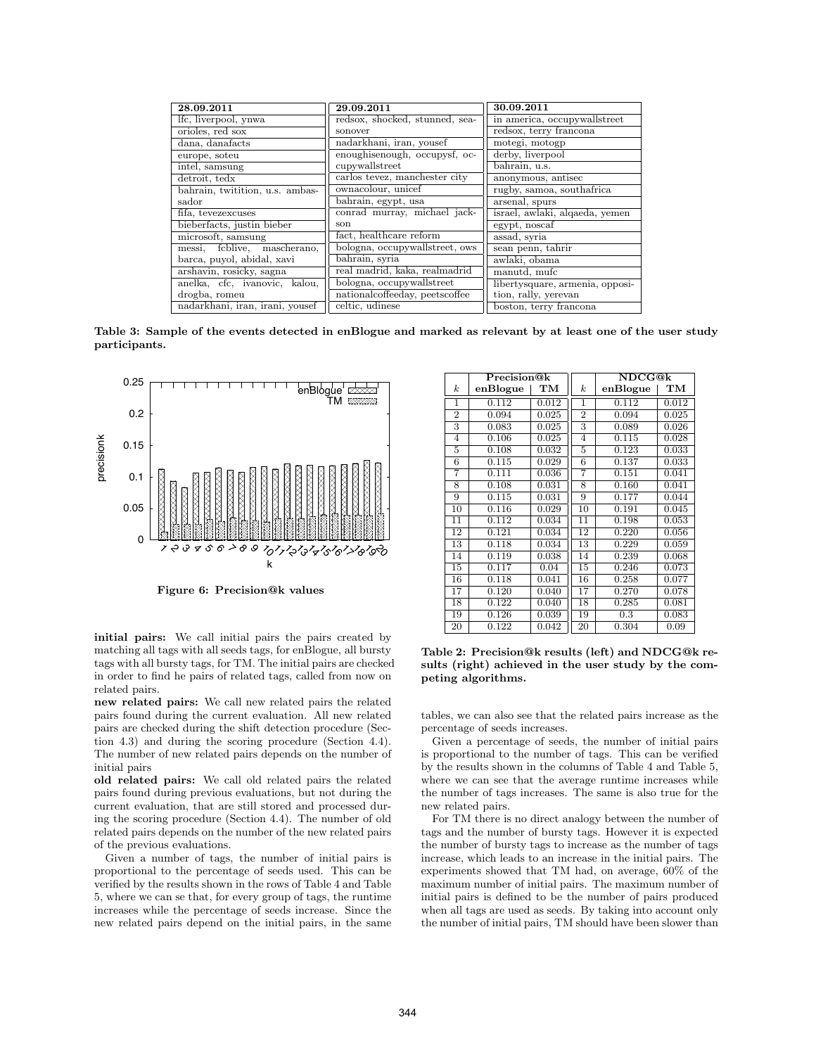| in america, occupywallstreet    |
|---------------------------------|
| redsox, terry francona          |
|                                 |
|                                 |
|                                 |
|                                 |
| rugby, samoa, southafrica       |
|                                 |
| israel, awlaki, alqaeda, yemen  |
|                                 |
|                                 |
|                                 |
|                                 |
|                                 |
| libertysquare, armenia, opposi- |
|                                 |
| boston, terry francona          |
|                                 |

Table 3: Sample of the events detected in enBlogue and marked as relevant by at least one of the user study participants.



Figure 6: Precision@k values

initial pairs: We call initial pairs the pairs created by matching all tags with all seeds tags, for enBlogue, all bursty tags with all bursty tags, for TM. The initial pairs are checked in order to find he pairs of related tags, called from now on related pairs.

new related pairs: We call new related pairs the related pairs found during the current evaluation. All new related pairs are checked during the shift detection procedure (Section 4.3) and during the scoring procedure (Section 4.4). The number of new related pairs depends on the number of initial pairs

old related pairs: We call old related pairs the related pairs found during previous evaluations, but not during the current evaluation, that are still stored and processed during the scoring procedure (Section 4.4). The number of old related pairs depends on the number of the new related pairs of the previous evaluations.

Given a number of tags, the number of initial pairs is proportional to the percentage of seeds used. This can be verified by the results shown in the rows of Table 4 and Table 5, where we can se that, for every group of tags, the runtime increases while the percentage of seeds increase. Since the new related pairs depend on the initial pairs, in the same

|                  | Precision@k |       |                           | <b>NDCG@k</b> |       |
|------------------|-------------|-------|---------------------------|---------------|-------|
| $\boldsymbol{k}$ | enBlogue    | TМ    | $\boldsymbol{k}$          | enBlogue      | TМ    |
| 1                | 0.112       | 0.012 | 1                         | 0.112         | 0.012 |
| $\overline{2}$   | 0.094       | 0.025 | $\overline{2}$            | 0.094         | 0.025 |
| 3                | 0.083       | 0.025 | $\overline{\overline{3}}$ | 0.089         | 0.026 |
| $\overline{4}$   | 0.106       | 0.025 | $\overline{4}$            | 0.115         | 0.028 |
| 5                | 0.108       | 0.032 | 5                         | 0.123         | 0.033 |
| $\overline{6}$   | 0.115       | 0.029 | $\overline{6}$            | 0.137         | 0.033 |
| 7                | 0.111       | 0.036 | 7                         | 0.151         | 0.041 |
| 8                | 0.108       | 0.031 | 8                         | 0.160         | 0.041 |
| 9                | 0.115       | 0.031 | 9                         | 0.177         | 0.044 |
| 10               | 0.116       | 0.029 | $\overline{10}$           | 0.191         | 0.045 |
| 11               | 0.112       | 0.034 | 11                        | 0.198         | 0.053 |
| 12               | 0.121       | 0.034 | 12                        | 0.220         | 0.056 |
| 13               | 0.118       | 0.034 | 13                        | 0.229         | 0.059 |
| 14               | 0.119       | 0.038 | 14                        | 0.239         | 0.068 |
| 15               | 0.117       | 0.04  | 15                        | 0.246         | 0.073 |
| 16               | 0.118       | 0.041 | 16                        | 0.258         | 0.077 |
| 17               | 0.120       | 0.040 | $\overline{17}$           | 0.270         | 0.078 |
| 18               | 0.122       | 0.040 | 18                        | 0.285         | 0.081 |
| $\overline{1}9$  | 0.126       | 0.039 | 19                        | 0.3           | 0.083 |
| 20               | 0.122       | 0.042 | 20                        | 0.304         | 0.09  |

Table 2: Precision@k results (left) and NDCG@k results (right) achieved in the user study by the competing algorithms.

tables, we can also see that the related pairs increase as the percentage of seeds increases.

Given a percentage of seeds, the number of initial pairs is proportional to the number of tags. This can be verified by the results shown in the columns of Table 4 and Table 5, where we can see that the average runtime increases while the number of tags increases. The same is also true for the new related pairs.

For TM there is no direct analogy between the number of tags and the number of bursty tags. However it is expected the number of bursty tags to increase as the number of tags increase, which leads to an increase in the initial pairs. The experiments showed that TM had, on average, 60% of the maximum number of initial pairs. The maximum number of initial pairs is defined to be the number of pairs produced when all tags are used as seeds. By taking into account only the number of initial pairs, TM should have been slower than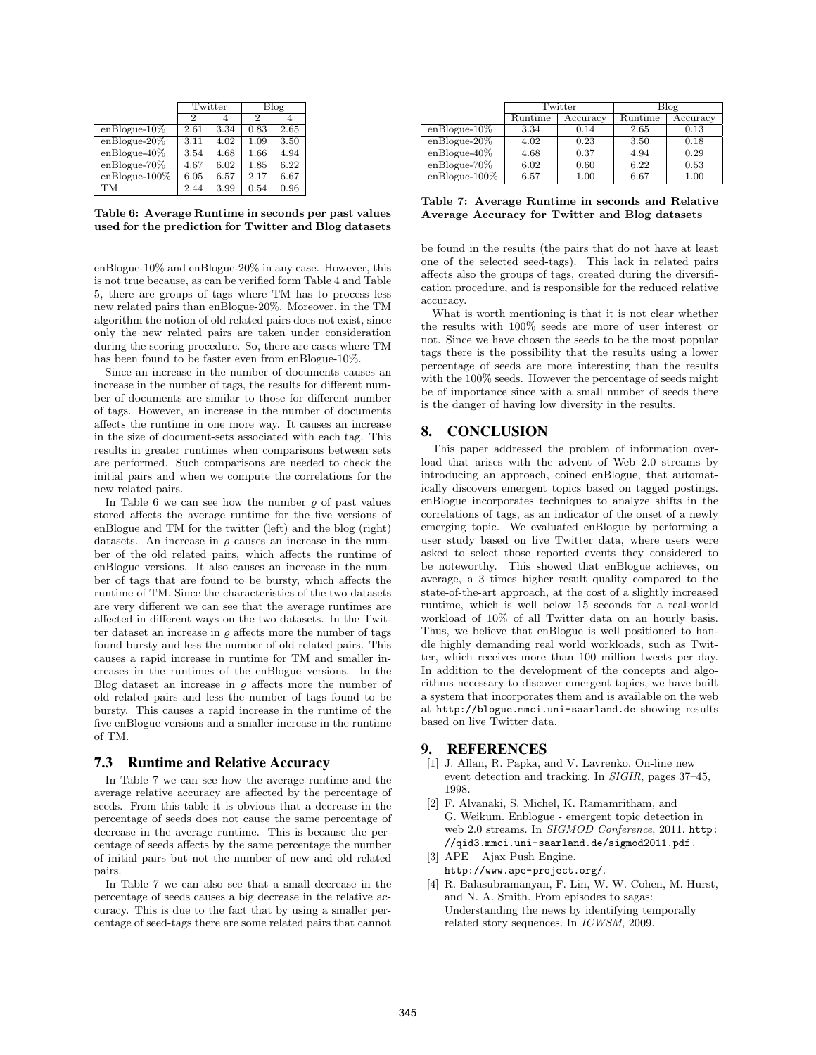|                  | Twitter |      |      | Blog |  |
|------------------|---------|------|------|------|--|
|                  | 2       |      | 2    |      |  |
| $enBlogue-10\%$  | 2.61    | 3.34 | 0.83 | 2.65 |  |
| $enBlogue-20%$   | 3.11    | 4.02 | 1.09 | 3.50 |  |
| $enBlogue-40\%$  | 3.54    | 4.68 | 1.66 | 4.94 |  |
| $enBlogue-70%$   | 4.67    | 6.02 | 1.85 | 6.22 |  |
| $enBlogue-100\%$ | 6.05    | 6.57 | 2.17 | 6.67 |  |
| TМ               | 2.44    | 3.99 | 0.54 | 0.96 |  |

Table 6: Average Runtime in seconds per past values used for the prediction for Twitter and Blog datasets

enBlogue-10% and enBlogue-20% in any case. However, this is not true because, as can be verified form Table 4 and Table 5, there are groups of tags where TM has to process less new related pairs than enBlogue-20%. Moreover, in the TM algorithm the notion of old related pairs does not exist, since only the new related pairs are taken under consideration during the scoring procedure. So, there are cases where TM has been found to be faster even from enBlogue-10%.

Since an increase in the number of documents causes an increase in the number of tags, the results for different number of documents are similar to those for different number of tags. However, an increase in the number of documents affects the runtime in one more way. It causes an increase in the size of document-sets associated with each tag. This results in greater runtimes when comparisons between sets are performed. Such comparisons are needed to check the initial pairs and when we compute the correlations for the new related pairs.

In Table 6 we can see how the number  $\rho$  of past values stored affects the average runtime for the five versions of enBlogue and TM for the twitter (left) and the blog (right) datasets. An increase in  $\rho$  causes an increase in the number of the old related pairs, which affects the runtime of enBlogue versions. It also causes an increase in the number of tags that are found to be bursty, which affects the runtime of TM. Since the characteristics of the two datasets are very different we can see that the average runtimes are affected in different ways on the two datasets. In the Twitter dataset an increase in  $\rho$  affects more the number of tags found bursty and less the number of old related pairs. This causes a rapid increase in runtime for TM and smaller increases in the runtimes of the enBlogue versions. In the Blog dataset an increase in  $\varrho$  affects more the number of old related pairs and less the number of tags found to be bursty. This causes a rapid increase in the runtime of the five enBlogue versions and a smaller increase in the runtime of TM.

## 7.3 Runtime and Relative Accuracy

In Table 7 we can see how the average runtime and the average relative accuracy are affected by the percentage of seeds. From this table it is obvious that a decrease in the percentage of seeds does not cause the same percentage of decrease in the average runtime. This is because the percentage of seeds affects by the same percentage the number of initial pairs but not the number of new and old related pairs.

In Table 7 we can also see that a small decrease in the percentage of seeds causes a big decrease in the relative accuracy. This is due to the fact that by using a smaller percentage of seed-tags there are some related pairs that cannot

|                  |                    | Twitter  |         | Blog     |  |  |
|------------------|--------------------|----------|---------|----------|--|--|
|                  | $\mathrm{Runtime}$ | Accuracy | Runtime | Accuracy |  |  |
| $enBlogue-10\%$  | 3.34               | 0.14     | 2.65    | 0.13     |  |  |
| $enBlogue-20%$   | 4.02               | 0.23     | 3.50    | 0.18     |  |  |
| $enBlogue-40\%$  | 4.68               | 0.37     | 4.94    | 0.29     |  |  |
| $enBlogue-70%$   | 6.02               | 0.60     | 6.22    | 0.53     |  |  |
| $enBlogue-100\%$ | 6.57               | 1.00     | 6.67    | 1.00     |  |  |

Table 7: Average Runtime in seconds and Relative Average Accuracy for Twitter and Blog datasets

be found in the results (the pairs that do not have at least one of the selected seed-tags). This lack in related pairs affects also the groups of tags, created during the diversification procedure, and is responsible for the reduced relative accuracy.

What is worth mentioning is that it is not clear whether the results with 100% seeds are more of user interest or not. Since we have chosen the seeds to be the most popular tags there is the possibility that the results using a lower percentage of seeds are more interesting than the results with the 100% seeds. However the percentage of seeds might be of importance since with a small number of seeds there is the danger of having low diversity in the results.

# 8. CONCLUSION

This paper addressed the problem of information overload that arises with the advent of Web 2.0 streams by introducing an approach, coined enBlogue, that automatically discovers emergent topics based on tagged postings. enBlogue incorporates techniques to analyze shifts in the correlations of tags, as an indicator of the onset of a newly emerging topic. We evaluated enBlogue by performing a user study based on live Twitter data, where users were asked to select those reported events they considered to be noteworthy. This showed that enBlogue achieves, on average, a 3 times higher result quality compared to the state-of-the-art approach, at the cost of a slightly increased runtime, which is well below 15 seconds for a real-world workload of 10% of all Twitter data on an hourly basis. Thus, we believe that enBlogue is well positioned to handle highly demanding real world workloads, such as Twitter, which receives more than 100 million tweets per day. In addition to the development of the concepts and algorithms necessary to discover emergent topics, we have built a system that incorporates them and is available on the web at http://blogue.mmci.uni-saarland.de showing results based on live Twitter data.

## 9. REFERENCES

- [1] J. Allan, R. Papka, and V. Lavrenko. On-line new event detection and tracking. In *SIGIR*, pages 37–45, 1998.
- [2] F. Alvanaki, S. Michel, K. Ramamritham, and G. Weikum. Enblogue - emergent topic detection in web 2.0 streams. In *SIGMOD Conference*, 2011. http: //qid3.mmci.uni-saarland.de/sigmod2011.pdf .
- [3] APE Ajax Push Engine. http://www.ape-project.org/.
- [4] R. Balasubramanyan, F. Lin, W. W. Cohen, M. Hurst, and N. A. Smith. From episodes to sagas: Understanding the news by identifying temporally related story sequences. In *ICWSM*, 2009.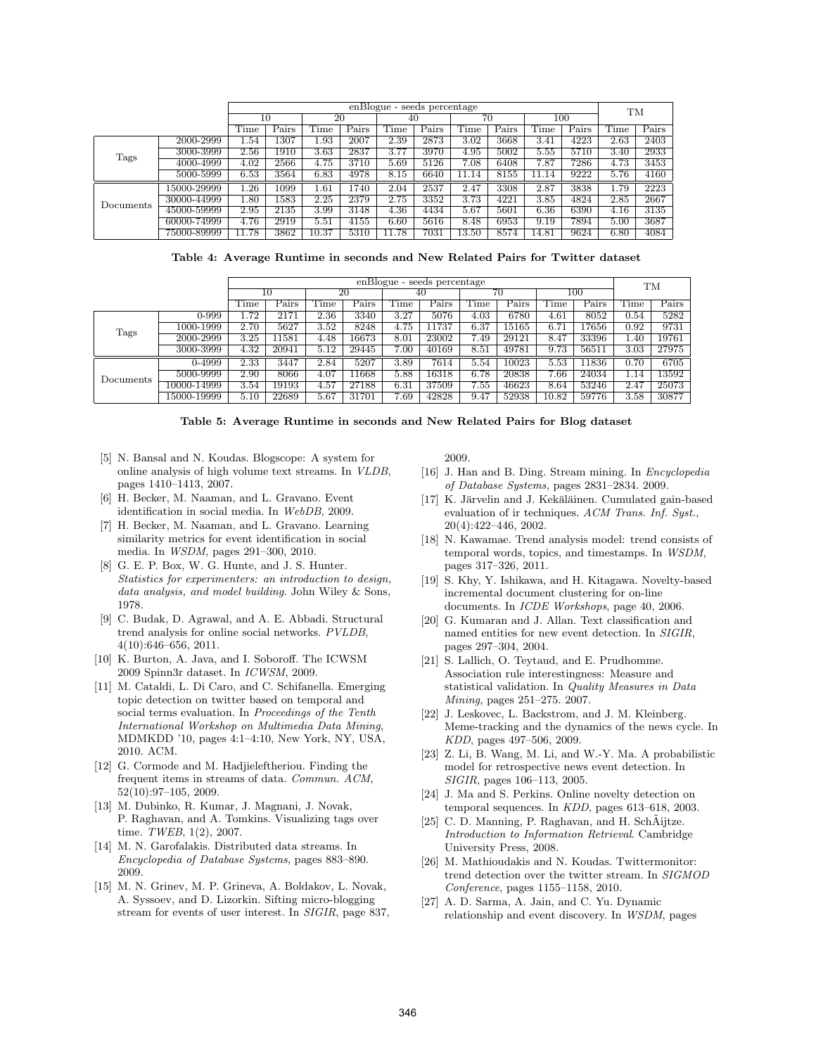|           |             |       | enBlogue - seeds percentage |       |       |       |       |       |       |       |       |           |       |
|-----------|-------------|-------|-----------------------------|-------|-------|-------|-------|-------|-------|-------|-------|-----------|-------|
|           |             |       | 10                          | 20    |       | 40    |       | 70    |       | 100   |       | <b>TM</b> |       |
|           |             | Time  | Pairs                       | Time  | Pairs | Time  | Pairs | Time  | Pairs | Time  | Pairs | l'ime     | Pairs |
|           | 2000-2999   | 1.54  | 1307                        | L.93  | 2007  | 2.39  | 2873  | 3.02  | 3668  | 3.41  | 4223  | 2.63      | 2403  |
| Tags      | 3000-3999   | 2.56  | 1910                        | 3.63  | 2837  | 3.77  | 3970  | 4.95  | 5002  | 5.55  | 5710  | 3.40      | 2933  |
|           | 4000-4999   | 4.02  | 2566                        | 4.75  | 3710  | 5.69  | 5126  | 7.08  | 6408  | 7.87  | 7286  | 4.73      | 3453  |
|           | 5000-5999   | 6.53  | 3564                        | 6.83  | 4978  | 8.15  | 6640  | 11.14 | 8155  | 11.14 | 9222  | 5.76      | 4160  |
|           | 15000-29999 | .26   | 1099                        | 1.61  | 1740  | 2.04  | 2537  | 2.47  | 3308  | 2.87  | 3838  | 1.79      | 2223  |
| Documents | 30000-44999 | 1.80  | 1583                        | 2.25  | 2379  | 2.75  | 3352  | 3.73  | 4221  | 3.85  | 4824  | 2.85      | 2667  |
|           | 45000-59999 | 2.95  | 2135                        | 3.99  | 3148  | 4.36  | 4434  | 5.67  | 5601  | 6.36  | 6390  | 4.16      | 3135  |
|           | 60000-74999 | 4.76  | 2919                        | 5.51  | 4155  | 6.60  | 5616  | 8.48  | 6953  | 9.19  | 7894  | 5.00      | 3687  |
|           | 75000-89999 | 11.78 | 3862                        | 10.37 | 5310  | 11.78 | 7031  | 13.50 | 8574  | 14.81 | 9624  | 6.80      | 4084  |

|  |  | Table 4: Average Runtime in seconds and New Related Pairs for Twitter dataset |  |  |  |  |  |  |  |  |  |
|--|--|-------------------------------------------------------------------------------|--|--|--|--|--|--|--|--|--|
|--|--|-------------------------------------------------------------------------------|--|--|--|--|--|--|--|--|--|

|           |             | enBlogue - seeds percentage |              |                   |       |                   |       |      |       |           |       |      |       |
|-----------|-------------|-----------------------------|--------------|-------------------|-------|-------------------|-------|------|-------|-----------|-------|------|-------|
|           |             |                             | 10           |                   | 20    |                   | 40    |      | 70    |           | 100   |      | TM    |
|           |             | Time                        | $\rm{Pairs}$ | <b>Time</b>       | Pairs | Time              | Pairs | Time | Pairs | `ime      | Pairs | Time | Pairs |
|           | 0-999       | 1.72                        | 2171         | 2.36              | 3340  | 3.27              | 5076  | 4.03 | 6780  | $^{4.61}$ | 8052  | 0.54 | 5282  |
| Tags      | 1000-1999   | 2.70                        | 5627         | 3.52              | 8248  | 4.75              | 11737 | 6.37 | 15165 | 6.71      | 17656 | 0.92 | 9731  |
|           | 2000-2999   | 3.25                        | .1581        | 4.48              | 16673 | 8.01              | 23002 | 7.49 | 29121 | 8.47      | 33396 | .40  | 19761 |
|           | 3000-3999   | 4.32                        | 20941        | 5.12              | 29445 | 7.00              | 40169 | 8.51 | 49781 | 9.73      | 56511 | 3.03 | 27975 |
|           | 0-4999      | 2.33                        | 3447         | $2.\overline{84}$ | 5207  | 3.89              | 7614  | 5.54 | 10023 | 5.53      | 11836 | 0.70 | 6705  |
| Documents | 5000-9999   | 2.90                        | 8066         | 4.07              | 1668  | 5.88              | 16318 | 6.78 | 20838 | 7.66      | 24034 | .14  | 13592 |
|           | 10000-14999 | 3.54                        | 19193        | 4.57              | 27188 | 6.31              | 37509 | 7.55 | 46623 | 8.64      | 53246 | 2.47 | 25073 |
|           | 15000-19999 | 5.10                        | 22689        | 5.67              | 31701 | $7.\overline{69}$ | 42828 | 9.47 | 52938 | 10.82     | 59776 | 3.58 | 30877 |

| Table 5: Average Runtime in seconds and New Related Pairs for Blog dataset |  |  |  |  |  |  |  |  |  |  |  |  |
|----------------------------------------------------------------------------|--|--|--|--|--|--|--|--|--|--|--|--|
|----------------------------------------------------------------------------|--|--|--|--|--|--|--|--|--|--|--|--|

- [5] N. Bansal and N. Koudas. Blogscope: A system for online analysis of high volume text streams. In *VLDB*, pages 1410–1413, 2007.
- [6] H. Becker, M. Naaman, and L. Gravano. Event identification in social media. In *WebDB*, 2009.
- [7] H. Becker, M. Naaman, and L. Gravano. Learning similarity metrics for event identification in social media. In *WSDM*, pages 291–300, 2010.
- [8] G. E. P. Box, W. G. Hunte, and J. S. Hunter. *Statistics for experimenters: an introduction to design, data analysis, and model building*. John Wiley & Sons, 1978.
- [9] C. Budak, D. Agrawal, and A. E. Abbadi. Structural trend analysis for online social networks. *PVLDB*, 4(10):646–656, 2011.
- [10] K. Burton, A. Java, and I. Soboroff. The ICWSM 2009 Spinn3r dataset. In *ICWSM*, 2009.
- [11] M. Cataldi, L. Di Caro, and C. Schifanella. Emerging topic detection on twitter based on temporal and social terms evaluation. In *Proceedings of the Tenth International Workshop on Multimedia Data Mining*, MDMKDD '10, pages 4:1–4:10, New York, NY, USA, 2010. ACM.
- [12] G. Cormode and M. Hadjieleftheriou. Finding the frequent items in streams of data. *Commun. ACM*, 52(10):97–105, 2009.
- [13] M. Dubinko, R. Kumar, J. Magnani, J. Novak, P. Raghavan, and A. Tomkins. Visualizing tags over time. *TWEB*, 1(2), 2007.
- [14] M. N. Garofalakis. Distributed data streams. In *Encyclopedia of Database Systems*, pages 883–890. 2009.
- [15] M. N. Grinev, M. P. Grineva, A. Boldakov, L. Novak, A. Syssoev, and D. Lizorkin. Sifting micro-blogging stream for events of user interest. In *SIGIR*, page 837,

2009.

- [16] J. Han and B. Ding. Stream mining. In *Encyclopedia of Database Systems*, pages 2831–2834. 2009.
- [17] K. Järvelin and J. Kekäläinen. Cumulated gain-based evaluation of ir techniques. *ACM Trans. Inf. Syst.*, 20(4):422–446, 2002.
- [18] N. Kawamae. Trend analysis model: trend consists of temporal words, topics, and timestamps. In *WSDM*, pages 317–326, 2011.
- [19] S. Khy, Y. Ishikawa, and H. Kitagawa. Novelty-based incremental document clustering for on-line documents. In *ICDE Workshops*, page 40, 2006.
- [20] G. Kumaran and J. Allan. Text classification and named entities for new event detection. In *SIGIR*, pages 297–304, 2004.
- [21] S. Lallich, O. Teytaud, and E. Prudhomme. Association rule interestingness: Measure and statistical validation. In *Quality Measures in Data Mining*, pages 251–275. 2007.
- [22] J. Leskovec, L. Backstrom, and J. M. Kleinberg. Meme-tracking and the dynamics of the news cycle. In *KDD*, pages 497–506, 2009.
- [23] Z. Li, B. Wang, M. Li, and W.-Y. Ma. A probabilistic model for retrospective news event detection. In *SIGIR*, pages 106–113, 2005.
- [24] J. Ma and S. Perkins. Online novelty detection on temporal sequences. In *KDD*, pages 613–618, 2003.
- [25] C. D. Manning, P. Raghavan, and H. Sch $\tilde{A}$ ijtze. *Introduction to Information Retrieval*. Cambridge University Press, 2008.
- [26] M. Mathioudakis and N. Koudas. Twittermonitor: trend detection over the twitter stream. In *SIGMOD Conference*, pages 1155–1158, 2010.
- [27] A. D. Sarma, A. Jain, and C. Yu. Dynamic relationship and event discovery. In *WSDM*, pages